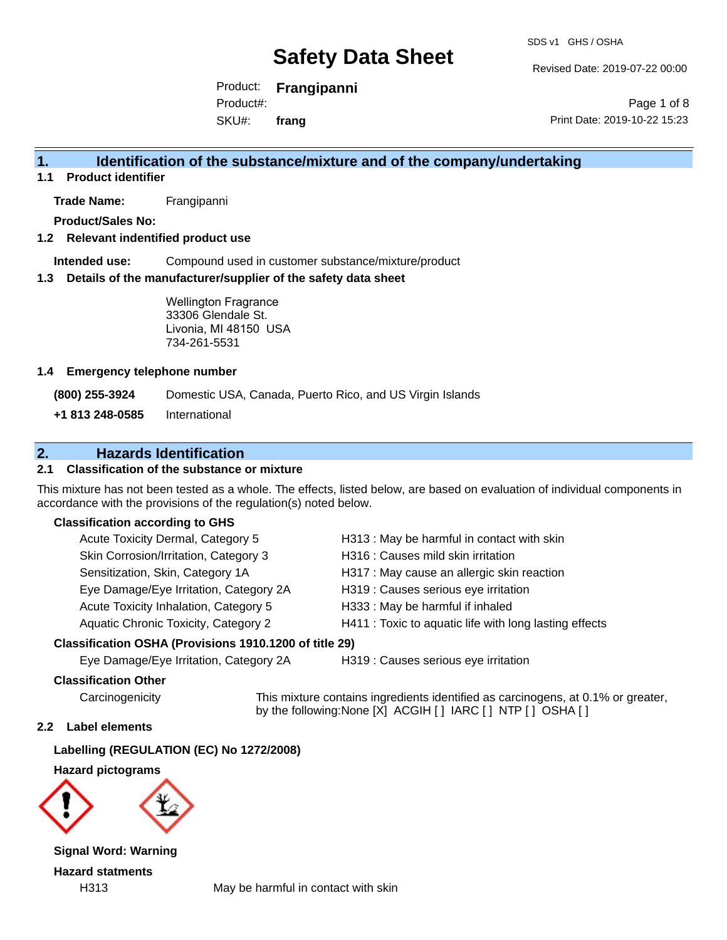Revised Date: 2019-07-22 00:00

Product: **Frangipanni** SKU#: Product#: **frang**

Page 1 of 8 Print Date: 2019-10-22 15:23

### **1. Identification of the substance/mixture and of the company/undertaking**

**1.1 Product identifier**

**Trade Name:** Frangipanni

**Product/Sales No:**

#### **1.2 Relevant indentified product use**

**Intended use:** Compound used in customer substance/mixture/product

#### **1.3 Details of the manufacturer/supplier of the safety data sheet**

Wellington Fragrance 33306 Glendale St. Livonia, MI 48150 USA 734-261-5531

#### **1.4 Emergency telephone number**

**(800) 255-3924** Domestic USA, Canada, Puerto Rico, and US Virgin Islands

**+1 813 248-0585** International

### **2. Hazards Identification**

#### **2.1 Classification of the substance or mixture**

This mixture has not been tested as a whole. The effects, listed below, are based on evaluation of individual components in accordance with the provisions of the regulation(s) noted below.

#### **Classification according to GHS**

| Acute Toxicity Dermal, Category 5      | H313 : May be harmful in contact with skin             |
|----------------------------------------|--------------------------------------------------------|
| Skin Corrosion/Irritation, Category 3  | H316 : Causes mild skin irritation                     |
| Sensitization, Skin, Category 1A       | H317 : May cause an allergic skin reaction             |
| Eye Damage/Eye Irritation, Category 2A | H319 : Causes serious eye irritation                   |
| Acute Toxicity Inhalation, Category 5  | H333: May be harmful if inhaled                        |
| Aquatic Chronic Toxicity, Category 2   | H411 : Toxic to aquatic life with long lasting effects |

#### **Classification OSHA (Provisions 1910.1200 of title 29)**

Eye Damage/Eye Irritation, Category 2A H319 : Causes serious eye irritation

#### **Classification Other**

Carcinogenicity This mixture contains ingredients identified as carcinogens, at 0.1% or greater, by the following:None [X] ACGIH [ ] IARC [ ] NTP [ ] OSHA [ ]

#### **2.2 Label elements**

**Labelling (REGULATION (EC) No 1272/2008)**

**Hazard pictograms**



**Signal Word: Warning Hazard statments**

H313 May be harmful in contact with skin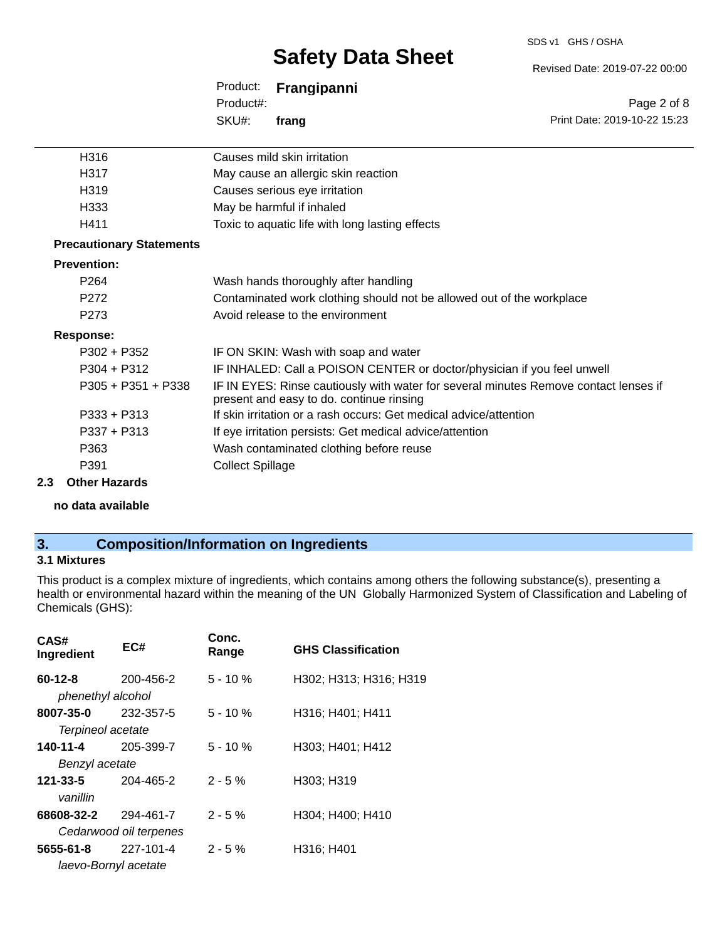#### SDS v1 GHS / OSHA

## **Safety Data Sheet**

Revised Date: 2019-07-22 00:00

|           | Product: <b>Frangipanni</b> |                              |
|-----------|-----------------------------|------------------------------|
| Product#: |                             | Page 2 of 8                  |
| SKU#:     | frang                       | Print Date: 2019-10-22 15:23 |
|           |                             |                              |

| H316                            | Causes mild skin irritation                                                                                                      |
|---------------------------------|----------------------------------------------------------------------------------------------------------------------------------|
| H317                            | May cause an allergic skin reaction                                                                                              |
| H319                            | Causes serious eye irritation                                                                                                    |
| H333                            | May be harmful if inhaled                                                                                                        |
| H411                            | Toxic to aquatic life with long lasting effects                                                                                  |
| <b>Precautionary Statements</b> |                                                                                                                                  |
| <b>Prevention:</b>              |                                                                                                                                  |
| P <sub>264</sub>                | Wash hands thoroughly after handling                                                                                             |
| P272                            | Contaminated work clothing should not be allowed out of the workplace                                                            |
| P <sub>273</sub>                | Avoid release to the environment                                                                                                 |
| Response:                       |                                                                                                                                  |
| $P302 + P352$                   | IF ON SKIN: Wash with soap and water                                                                                             |
| $P304 + P312$                   | IF INHALED: Call a POISON CENTER or doctor/physician if you feel unwell                                                          |
| $P305 + P351 + P338$            | IF IN EYES: Rinse cautiously with water for several minutes Remove contact lenses if<br>present and easy to do. continue rinsing |
| $P333 + P313$                   | If skin irritation or a rash occurs: Get medical advice/attention                                                                |
| $P337 + P313$                   | If eye irritation persists: Get medical advice/attention                                                                         |
| P363                            | Wash contaminated clothing before reuse                                                                                          |
| P391                            | <b>Collect Spillage</b>                                                                                                          |
|                                 |                                                                                                                                  |

#### **2.3 Other Hazards**

**no data available**

### **3. Composition/Information on Ingredients**

#### **3.1 Mixtures**

This product is a complex mixture of ingredients, which contains among others the following substance(s), presenting a health or environmental hazard within the meaning of the UN Globally Harmonized System of Classification and Labeling of Chemicals (GHS):

| CAS#<br>Ingredient                 | EC#                                 | Conc.<br>Range | <b>GHS Classification</b> |
|------------------------------------|-------------------------------------|----------------|---------------------------|
| $60 - 12 - 8$<br>phenethyl alcohol | 200-456-2                           | $5 - 10%$      | H302; H313; H316; H319    |
| 8007-35-0<br>Terpineol acetate     | 232-357-5                           | $5 - 10%$      | H316; H401; H411          |
| 140-11-4<br>Benzyl acetate         | 205-399-7                           | $5 - 10 \%$    | H303; H401; H412          |
| 121-33-5<br>vanillin               | 204-465-2                           | $2 - 5%$       | H303; H319                |
| 68608-32-2                         | 294-461-7<br>Cedarwood oil terpenes | $2 - 5%$       | H304; H400; H410          |
| 5655-61-8                          | 227-101-4                           | $2 - 5%$       | H316; H401                |
|                                    | laevo-Bornyl acetate                |                |                           |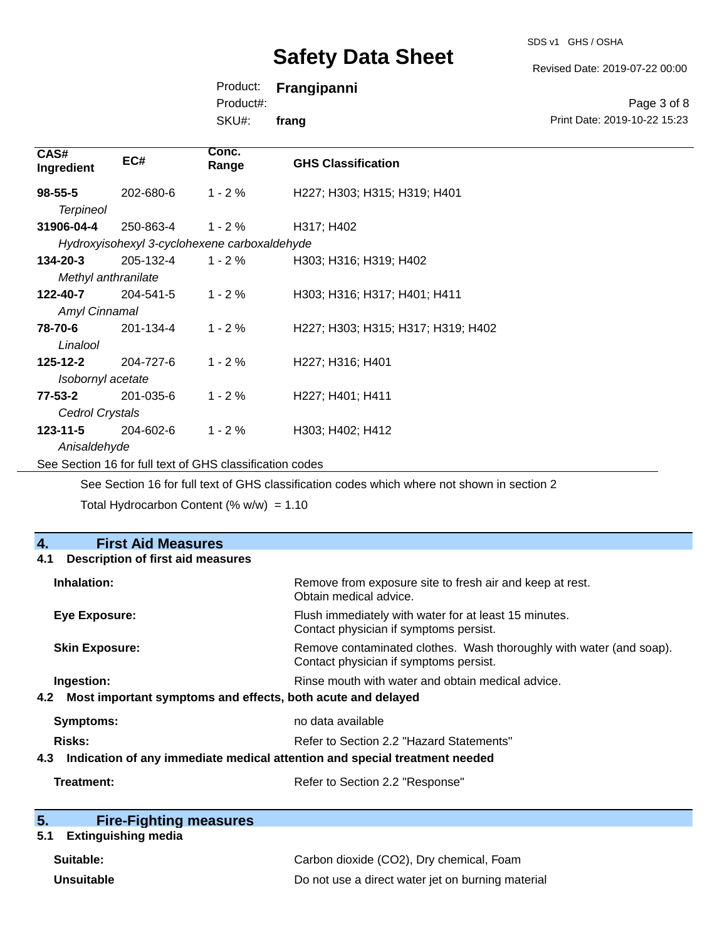SDS v1 GHS / OSHA

Revised Date: 2019-07-22 00:00

Product: **Frangipanni**

Product#:

SKU#: **frang**

| Page 3 of 8                  |
|------------------------------|
| Print Date: 2019-10-22 15:23 |

| CAS#<br>Ingredient   | EC#       | Conc.<br>Range                               | <b>GHS Classification</b>          |
|----------------------|-----------|----------------------------------------------|------------------------------------|
| $98 - 55 - 5$        | 202-680-6 | $1 - 2%$                                     | H227; H303; H315; H319; H401       |
| <b>Terpineol</b>     |           |                                              |                                    |
| 31906-04-4           | 250-863-4 | $1 - 2 \%$                                   | H317; H402                         |
|                      |           | Hydroxyisohexyl 3-cyclohexene carboxaldehyde |                                    |
| $134 - 20 - 3$       | 205-132-4 | $1 - 2 \%$                                   | H303; H316; H319; H402             |
| Methyl anthranilate  |           |                                              |                                    |
| 122-40-7             | 204-541-5 | $1 - 2%$                                     | H303; H316; H317; H401; H411       |
| <b>Amyl Cinnamal</b> |           |                                              |                                    |
| 78-70-6              | 201-134-4 | $1 - 2%$                                     | H227; H303; H315; H317; H319; H402 |
| Linalool             |           |                                              |                                    |
| $125 - 12 - 2$       | 204-727-6 | $1 - 2%$                                     | H227; H316; H401                   |
| Isobornyl acetate    |           |                                              |                                    |
| $77 - 53 - 2$        | 201-035-6 | $1 - 2%$                                     | H227; H401; H411                   |
| Cedrol Crystals      |           |                                              |                                    |
| $123 - 11 - 5$       | 204-602-6 | $1 - 2%$                                     | H303; H402; H412                   |
| Anisaldehyde         |           |                                              |                                    |

See Section 16 for full text of GHS classification codes

See Section 16 for full text of GHS classification codes which where not shown in section 2

Total Hydrocarbon Content (%  $w/w$ ) = 1.10

| 4.<br><b>First Aid Measures</b>                                                   |                                                                                                               |  |
|-----------------------------------------------------------------------------------|---------------------------------------------------------------------------------------------------------------|--|
| <b>Description of first aid measures</b><br>4.1                                   |                                                                                                               |  |
| Inhalation:                                                                       | Remove from exposure site to fresh air and keep at rest.<br>Obtain medical advice.                            |  |
| <b>Eye Exposure:</b>                                                              | Flush immediately with water for at least 15 minutes.<br>Contact physician if symptoms persist.               |  |
| <b>Skin Exposure:</b>                                                             | Remove contaminated clothes. Wash thoroughly with water (and soap).<br>Contact physician if symptoms persist. |  |
| Ingestion:                                                                        | Rinse mouth with water and obtain medical advice.                                                             |  |
| Most important symptoms and effects, both acute and delayed<br>4.2                |                                                                                                               |  |
| <b>Symptoms:</b>                                                                  | no data available                                                                                             |  |
| Risks:                                                                            | Refer to Section 2.2 "Hazard Statements"                                                                      |  |
| Indication of any immediate medical attention and special treatment needed<br>4.3 |                                                                                                               |  |
| Treatment:                                                                        | Refer to Section 2.2 "Response"                                                                               |  |

| 5. | <b>Fire-Fighting measures</b> |
|----|-------------------------------|
|    |                               |

### **5.1 Extinguishing media**

| Suitable:  | Carbon dioxide (CO2), Dry chemical, Foam          |
|------------|---------------------------------------------------|
| Unsuitable | Do not use a direct water jet on burning material |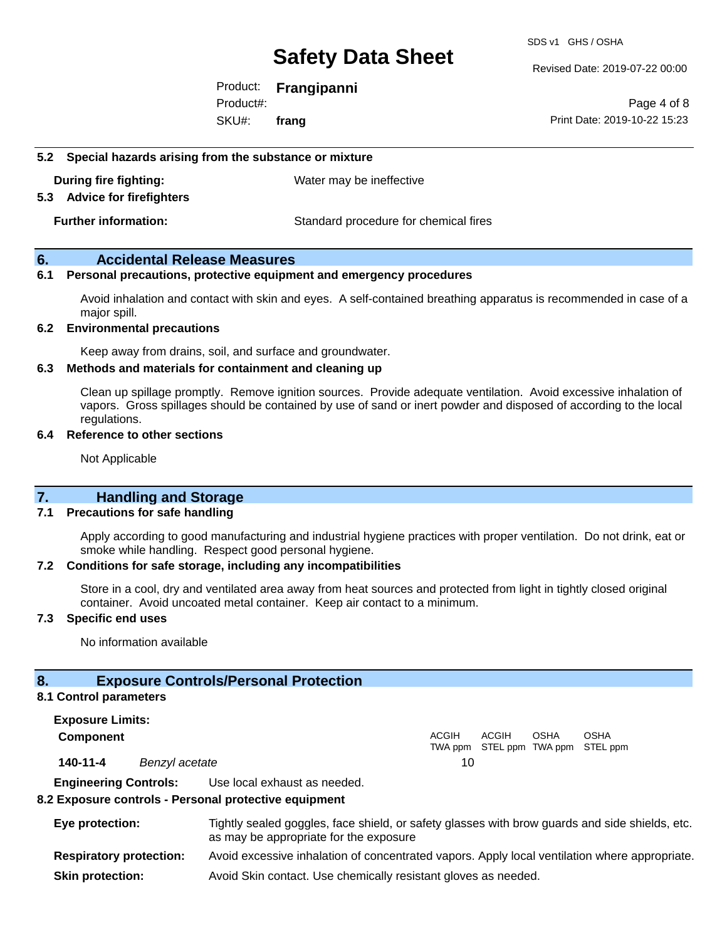Revised Date: 2019-07-22 00:00

Product: **Frangipanni** SKU#: Product#: **frang**

Page 4 of 8 Print Date: 2019-10-22 15:23

#### **5.2 Special hazards arising from the substance or mixture**

**During fire fighting:** Water may be ineffective

#### **5.3 Advice for firefighters**

**Further information:** Standard procedure for chemical fires

#### **6. Accidental Release Measures**

#### **6.1 Personal precautions, protective equipment and emergency procedures**

Avoid inhalation and contact with skin and eyes. A self-contained breathing apparatus is recommended in case of a major spill.

#### **6.2 Environmental precautions**

Keep away from drains, soil, and surface and groundwater.

#### **6.3 Methods and materials for containment and cleaning up**

Clean up spillage promptly. Remove ignition sources. Provide adequate ventilation. Avoid excessive inhalation of vapors. Gross spillages should be contained by use of sand or inert powder and disposed of according to the local regulations.

#### **6.4 Reference to other sections**

Not Applicable

#### **7. Handling and Storage**

#### **7.1 Precautions for safe handling**

Apply according to good manufacturing and industrial hygiene practices with proper ventilation. Do not drink, eat or smoke while handling. Respect good personal hygiene.

#### **7.2 Conditions for safe storage, including any incompatibilities**

Store in a cool, dry and ventilated area away from heat sources and protected from light in tightly closed original container. Avoid uncoated metal container. Keep air contact to a minimum.

#### **7.3 Specific end uses**

No information available

#### **8. Exposure Controls/Personal Protection**

#### **8.1 Control parameters**

**Exposure Limits: Component** ACGIH TWA ppm STEL ppm TWA ppm STEL ppm ACGIH **OSHA** OSHA **140-11-4** *Benzyl acetate* 10 **Engineering Controls:** Use local exhaust as needed.

#### **8.2 Exposure controls - Personal protective equipment**

| Eye protection:                | Tightly sealed goggles, face shield, or safety glasses with brow guards and side shields, etc.<br>as may be appropriate for the exposure |
|--------------------------------|------------------------------------------------------------------------------------------------------------------------------------------|
| <b>Respiratory protection:</b> | Avoid excessive inhalation of concentrated vapors. Apply local ventilation where appropriate.                                            |
| <b>Skin protection:</b>        | Avoid Skin contact. Use chemically resistant gloves as needed.                                                                           |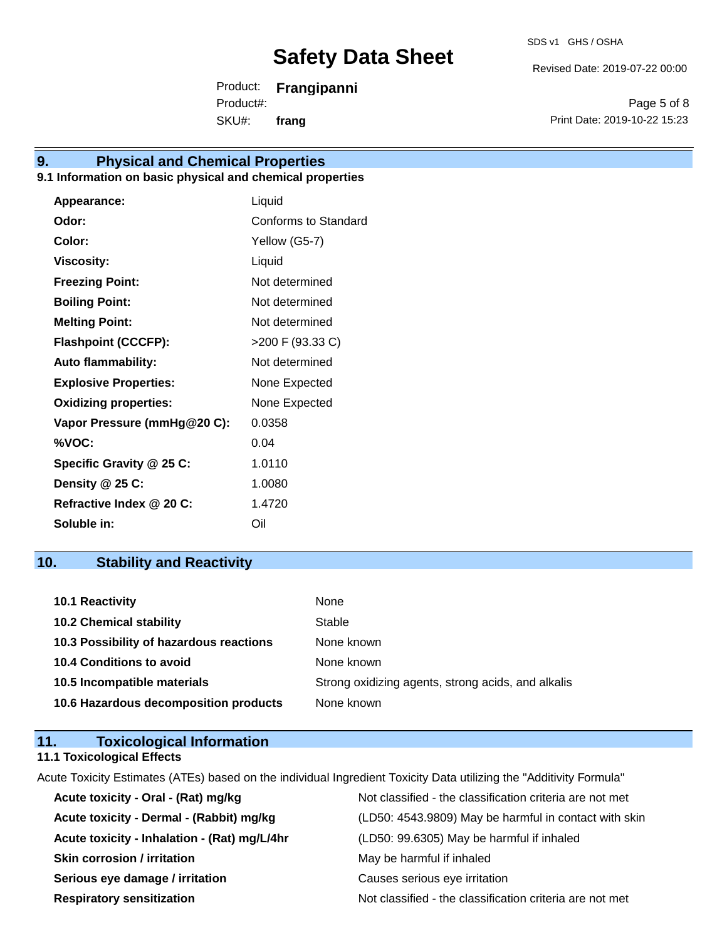Revised Date: 2019-07-22 00:00

Product: **Frangipanni** SKU#: Product#: **frang**

Page 5 of 8 Print Date: 2019-10-22 15:23

### **9. Physical and Chemical Properties**

#### **9.1 Information on basic physical and chemical properties**

| Appearance:                  | Liquid               |
|------------------------------|----------------------|
| Odor:                        | Conforms to Standard |
| Color:                       | Yellow (G5-7)        |
| <b>Viscosity:</b>            | Liquid               |
| <b>Freezing Point:</b>       | Not determined       |
| <b>Boiling Point:</b>        | Not determined       |
| <b>Melting Point:</b>        | Not determined       |
| <b>Flashpoint (CCCFP):</b>   | >200 F (93.33 C)     |
| <b>Auto flammability:</b>    | Not determined       |
| <b>Explosive Properties:</b> | None Expected        |
| <b>Oxidizing properties:</b> | None Expected        |
| Vapor Pressure (mmHg@20 C):  | 0.0358               |
| %VOC:                        | 0.04                 |
| Specific Gravity @ 25 C:     | 1.0110               |
| Density @ 25 C:              | 1.0080               |
| Refractive Index @ 20 C:     | 1.4720               |
| Soluble in:                  | Oil                  |

### **10. Stability and Reactivity**

| <b>10.1 Reactivity</b>                  | None                                               |
|-----------------------------------------|----------------------------------------------------|
| <b>10.2 Chemical stability</b>          | Stable                                             |
| 10.3 Possibility of hazardous reactions | None known                                         |
| <b>10.4 Conditions to avoid</b>         | None known                                         |
| 10.5 Incompatible materials             | Strong oxidizing agents, strong acids, and alkalis |
| 10.6 Hazardous decomposition products   | None known                                         |

#### **11. Toxicological Information 11.1 Toxicological Effects**

Acute Toxicity Estimates (ATEs) based on the individual Ingredient Toxicity Data utilizing the "Additivity Formula"

| Acute toxicity - Oral - (Rat) mg/kg          | Not classified - the classification criteria are not met |
|----------------------------------------------|----------------------------------------------------------|
| Acute toxicity - Dermal - (Rabbit) mg/kg     | (LD50: 4543.9809) May be harmful in contact with skin    |
| Acute toxicity - Inhalation - (Rat) mg/L/4hr | (LD50: 99.6305) May be harmful if inhaled                |
| <b>Skin corrosion / irritation</b>           | May be harmful if inhaled                                |
| Serious eye damage / irritation              | Causes serious eye irritation                            |
| <b>Respiratory sensitization</b>             | Not classified - the classification criteria are not met |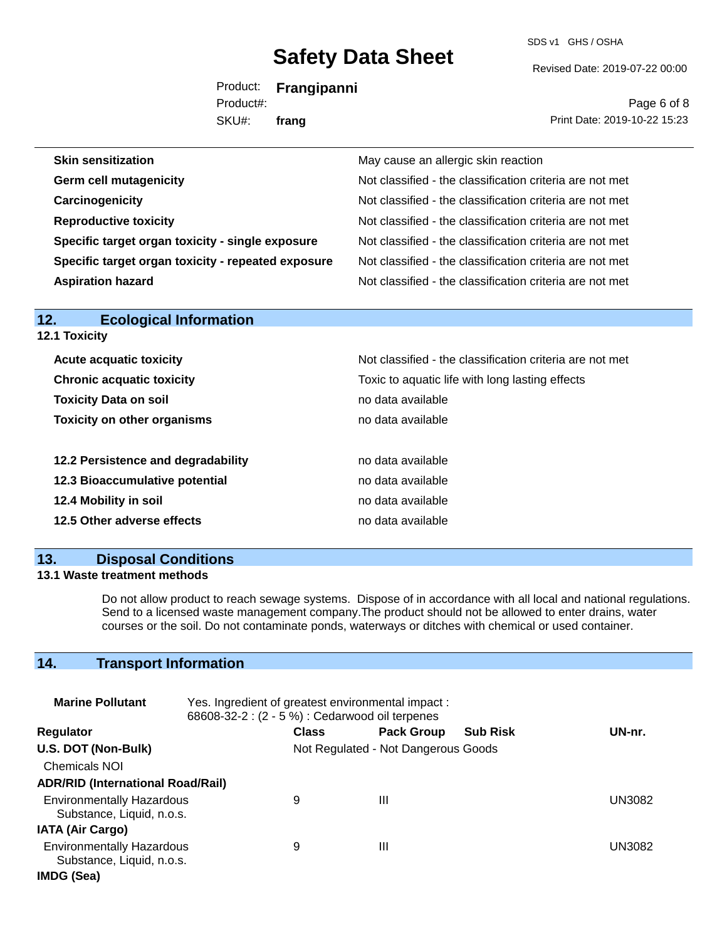SDS v1 GHS / OSHA

Revised Date: 2019-07-22 00:00

Product: **Frangipanni** SKU#: Product#: **frang**

Page 6 of 8 Print Date: 2019-10-22 15:23

| <b>Skin sensitization</b>                          | May cause an allergic skin reaction                      |
|----------------------------------------------------|----------------------------------------------------------|
| <b>Germ cell mutagenicity</b>                      | Not classified - the classification criteria are not met |
| Carcinogenicity                                    | Not classified - the classification criteria are not met |
| <b>Reproductive toxicity</b>                       | Not classified - the classification criteria are not met |
| Specific target organ toxicity - single exposure   | Not classified - the classification criteria are not met |
| Specific target organ toxicity - repeated exposure | Not classified - the classification criteria are not met |
| <b>Aspiration hazard</b>                           | Not classified - the classification criteria are not met |

| .<br>LUUIUGIUGI IIIIUI IIIGUUII    |                                                          |
|------------------------------------|----------------------------------------------------------|
| <b>12.1 Toxicity</b>               |                                                          |
| <b>Acute acquatic toxicity</b>     | Not classified - the classification criteria are not met |
| <b>Chronic acquatic toxicity</b>   | Toxic to aquatic life with long lasting effects          |
| <b>Toxicity Data on soil</b>       | no data available                                        |
| <b>Toxicity on other organisms</b> | no data available                                        |
| 12.2 Persistence and degradability | no data available                                        |
| 12.3 Bioaccumulative potential     | no data available                                        |
| 12.4 Mobility in soil              | no data available                                        |
| 12.5 Other adverse effects         | no data available                                        |
|                                    |                                                          |

#### **13. Disposal Conditions**

**12. Ecological Information** 

#### **13.1 Waste treatment methods**

Do not allow product to reach sewage systems. Dispose of in accordance with all local and national regulations. Send to a licensed waste management company.The product should not be allowed to enter drains, water courses or the soil. Do not contaminate ponds, waterways or ditches with chemical or used container.

### **14. Transport Information**

| <b>Marine Pollutant</b>                                       | Yes. Ingredient of greatest environmental impact:<br>68608-32-2 : (2 - 5 %) : Cedarwood oil terpenes |              |                                     |                 |               |
|---------------------------------------------------------------|------------------------------------------------------------------------------------------------------|--------------|-------------------------------------|-----------------|---------------|
| <b>Regulator</b>                                              |                                                                                                      | <b>Class</b> | <b>Pack Group</b>                   | <b>Sub Risk</b> | UN-nr.        |
| U.S. DOT (Non-Bulk)                                           |                                                                                                      |              | Not Regulated - Not Dangerous Goods |                 |               |
| <b>Chemicals NOI</b>                                          |                                                                                                      |              |                                     |                 |               |
| <b>ADR/RID (International Road/Rail)</b>                      |                                                                                                      |              |                                     |                 |               |
| <b>Environmentally Hazardous</b><br>Substance, Liquid, n.o.s. |                                                                                                      | 9            | Ш                                   |                 | <b>UN3082</b> |
| <b>IATA (Air Cargo)</b>                                       |                                                                                                      |              |                                     |                 |               |
| <b>Environmentally Hazardous</b><br>Substance, Liquid, n.o.s. |                                                                                                      | 9            | Ш                                   |                 | UN3082        |
| IMDG (Sea)                                                    |                                                                                                      |              |                                     |                 |               |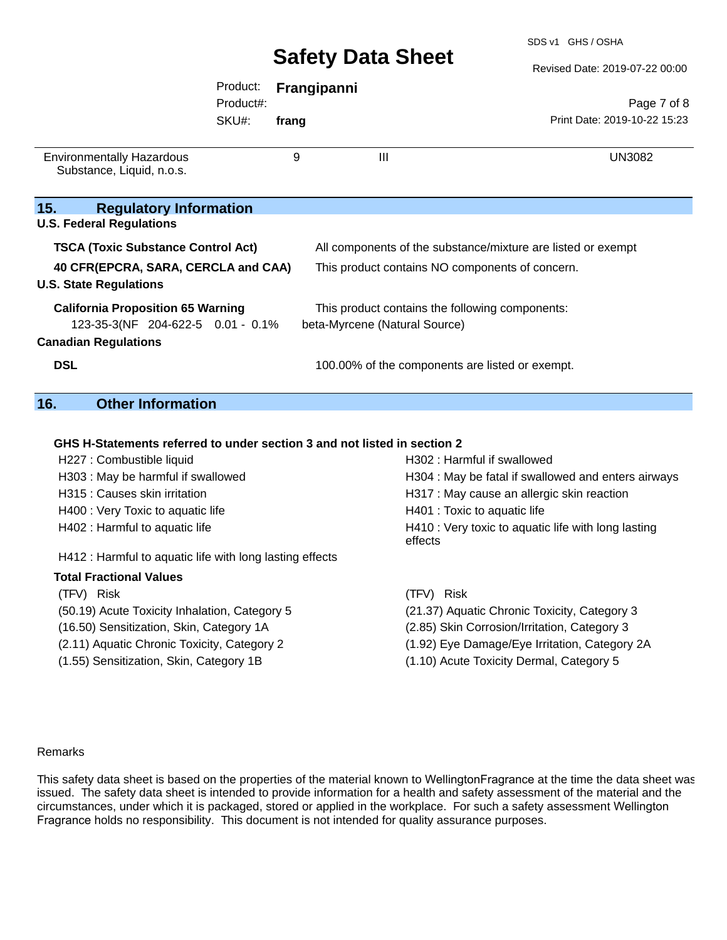Revised Date: 2019-07-22 00:00

|                                                                      | Product:  |       | Frangipanni                                                  |                              |
|----------------------------------------------------------------------|-----------|-------|--------------------------------------------------------------|------------------------------|
|                                                                      | Product#: |       |                                                              | Page 7 of 8                  |
|                                                                      | SKU#:     | frang |                                                              | Print Date: 2019-10-22 15:23 |
| <b>Environmentally Hazardous</b><br>Substance, Liquid, n.o.s.        |           | 9     | Ш                                                            | <b>UN3082</b>                |
| <b>Regulatory Information</b><br>15.                                 |           |       |                                                              |                              |
| <b>U.S. Federal Regulations</b>                                      |           |       |                                                              |                              |
| <b>TSCA (Toxic Substance Control Act)</b>                            |           |       | All components of the substance/mixture are listed or exempt |                              |
| 40 CFR(EPCRA, SARA, CERCLA and CAA)<br><b>U.S. State Regulations</b> |           |       | This product contains NO components of concern.              |                              |
| <b>California Proposition 65 Warning</b>                             |           |       | This product contains the following components:              |                              |
| 123-35-3(NF 204-622-5 0.01 - 0.1%                                    |           |       | beta-Myrcene (Natural Source)                                |                              |
| <b>Canadian Regulations</b>                                          |           |       |                                                              |                              |
| <b>DSL</b>                                                           |           |       | 100.00% of the components are listed or exempt.              |                              |
| 16.<br><b>Other Information</b>                                      |           |       |                                                              |                              |

#### **GHS H-Statements referred to under section 3 and not listed in section 2**

| H227 : Combustible liquid                                | H302: Harmful if swallowed                                     |
|----------------------------------------------------------|----------------------------------------------------------------|
| H303 : May be harmful if swallowed                       | H304 : May be fatal if swallowed and enters airways            |
| H315 : Causes skin irritation                            | H317 : May cause an allergic skin reaction                     |
| H400 : Very Toxic to aquatic life                        | H401 : Toxic to aquatic life                                   |
| H402 : Harmful to aquatic life                           | H410 : Very toxic to aquatic life with long lasting<br>effects |
| H412 : Harmful to aquatic life with long lasting effects |                                                                |
| <b>Total Fractional Values</b>                           |                                                                |
| (TFV) Risk                                               | (TFV) Risk                                                     |
| (50.19) Acute Toxicity Inhalation, Category 5            | (21.37) Aquatic Chronic Toxicity, Category 3                   |
| (16.50) Sensitization, Skin, Category 1A                 | (2.85) Skin Corrosion/Irritation, Category 3                   |
| (2.11) Aquatic Chronic Toxicity, Category 2              | (1.92) Eye Damage/Eye Irritation, Category 2A                  |
| (1.55) Sensitization, Skin, Category 1B                  | (1.10) Acute Toxicity Dermal, Category 5                       |

#### Remarks

**15.** 

This safety data sheet is based on the properties of the material known to WellingtonFragrance at the time the data sheet was issued. The safety data sheet is intended to provide information for a health and safety assessment of the material and the circumstances, under which it is packaged, stored or applied in the workplace. For such a safety assessment Wellington Fragrance holds no responsibility. This document is not intended for quality assurance purposes.